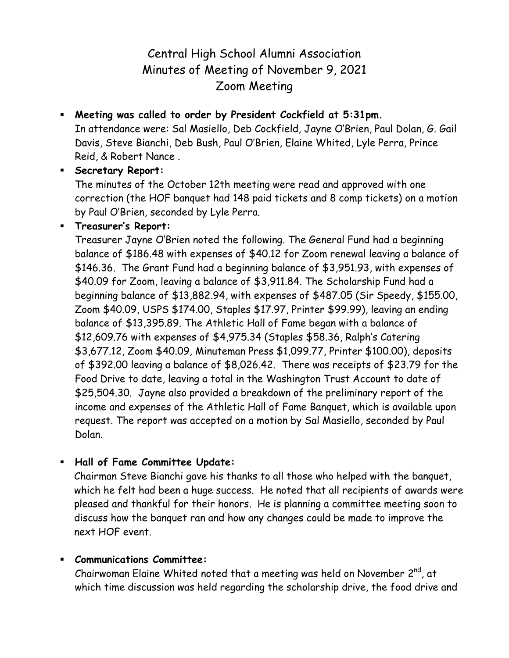# Central High School Alumni Association Minutes of Meeting of November 9, 2021 Zoom Meeting

 **Meeting was called to order by President Cockfield at 5:31pm.** In attendance were: Sal Masiello, Deb Cockfield, Jayne O'Brien, Paul Dolan, G. Gail Davis, Steve Bianchi, Deb Bush, Paul O'Brien, Elaine Whited, Lyle Perra, Prince Reid, & Robert Nance .

## **Secretary Report:**

The minutes of the October 12th meeting were read and approved with one correction (the HOF banquet had 148 paid tickets and 8 comp tickets) on a motion by Paul O'Brien, seconded by Lyle Perra.

**Treasurer's Report:**

Treasurer Jayne O'Brien noted the following. The General Fund had a beginning balance of \$186.48 with expenses of \$40.12 for Zoom renewal leaving a balance of \$146.36. The Grant Fund had a beginning balance of \$3,951.93, with expenses of \$40.09 for Zoom, leaving a balance of \$3,911.84. The Scholarship Fund had a beginning balance of \$13,882.94, with expenses of \$487.05 (Sir Speedy, \$155.00, Zoom \$40.09, USPS \$174.00, Staples \$17.97, Printer \$99.99), leaving an ending balance of \$13,395.89. The Athletic Hall of Fame began with a balance of \$12,609.76 with expenses of \$4,975.34 (Staples \$58.36, Ralph's Catering \$3,677.12, Zoom \$40.09, Minuteman Press \$1,099.77, Printer \$100.00), deposits of \$392.00 leaving a balance of \$8,026.42. There was receipts of \$23.79 for the Food Drive to date, leaving a total in the Washington Trust Account to date of \$25,504.30. Jayne also provided a breakdown of the preliminary report of the income and expenses of the Athletic Hall of Fame Banquet, which is available upon request. The report was accepted on a motion by Sal Masiello, seconded by Paul Dolan.

**Hall of Fame Committee Update:** 

Chairman Steve Bianchi gave his thanks to all those who helped with the banquet, which he felt had been a huge success. He noted that all recipients of awards were pleased and thankful for their honors. He is planning a committee meeting soon to discuss how the banquet ran and how any changes could be made to improve the next HOF event.

# **Communications Committee:**

Chairwoman Elaine Whited noted that a meeting was held on November 2<sup>nd</sup>, at which time discussion was held regarding the scholarship drive, the food drive and